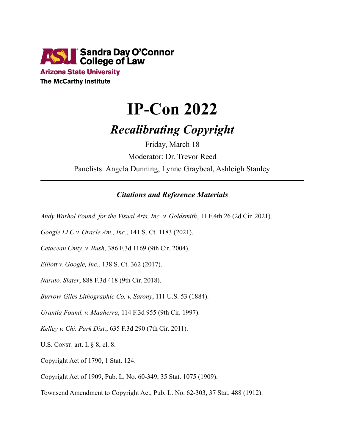

**Arizona State University The McCarthy Institute** 

## **IP-Con 2022**

## *Recalibrating Copyright*

Friday, March 18 Moderator: Dr. Trevor Reed Panelists: Angela Dunning, Lynne Graybeal, Ashleigh Stanley

## *Citations and Reference Materials*

*Andy Warhol Found. for the Visual Arts, Inc. v. Goldsmith*, 11 F.4th 26 (2d Cir. 2021).

*Google LLC v. Oracle Am., Inc.*, 141 S. Ct. 1183 (2021).

*Cetacean Cmty. v. Bush*, 386 F.3d 1169 (9th Cir. 2004).

*Elliott v. Google, Inc.*, 138 S. Ct. 362 (2017).

*Naruto. Slater*, 888 F.3d 418 (9th Cir. 2018).

*Burrow-Giles Lithographic Co. v. Sarony*, 111 U.S. 53 (1884).

*Urantia Found. v. Maaherra*, 114 F.3d 955 (9th Cir. 1997).

*Kelley v. Chi. Park Dist.*, 635 F.3d 290 (7th Cir. 2011).

U.S. CONST. art. I, § 8, cl. 8.

Copyright Act of 1790, 1 Stat. 124.

Copyright Act of 1909, Pub. L. No. 60-349, 35 Stat. 1075 (1909).

Townsend Amendment to Copyright Act, Pub. L. No. 62-303, 37 Stat. 488 (1912).